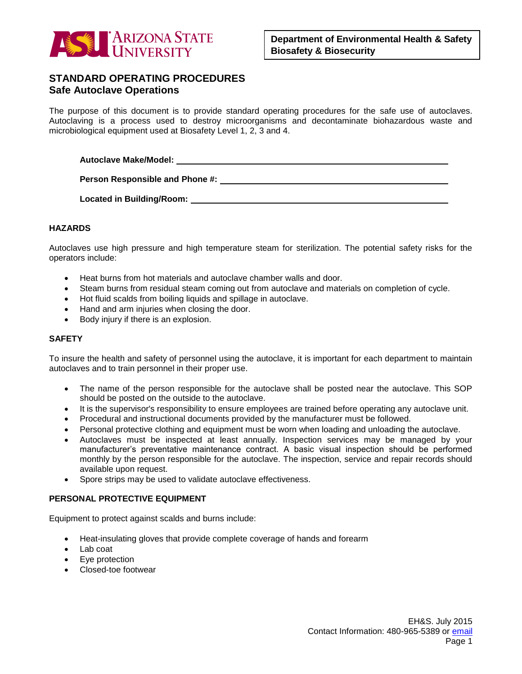

# **STANDARD OPERATING PROCEDURES Safe Autoclave Operations**

The purpose of this document is to provide standard operating procedures for the safe use of autoclaves. Autoclaving is a process used to destroy microorganisms and decontaminate biohazardous waste and microbiological equipment used at Biosafety Level 1, 2, 3 and 4.

**Autoclave Make/Model:** 

**Person Responsible and Phone #:** 

**Located in Building/Room:** 

### **HAZARDS**

Autoclaves use high pressure and high temperature steam for sterilization. The potential safety risks for the operators include:

- Heat burns from hot materials and autoclave chamber walls and door.
- Steam burns from residual steam coming out from autoclave and materials on completion of cycle.
- Hot fluid scalds from boiling liquids and spillage in autoclave.
- Hand and arm injuries when closing the door.
- Body injury if there is an explosion.

#### **SAFETY**

To insure the health and safety of personnel using the autoclave, it is important for each department to maintain autoclaves and to train personnel in their proper use.

- The name of the person responsible for the autoclave shall be posted near the autoclave. This SOP should be posted on the outside to the autoclave.
- It is the supervisor's responsibility to ensure employees are trained before operating any autoclave unit.
- Procedural and instructional documents provided by the manufacturer must be followed.
- Personal protective clothing and equipment must be worn when loading and unloading the autoclave.
- Autoclaves must be inspected at least annually. Inspection services may be managed by your manufacturer's preventative maintenance contract. A basic visual inspection should be performed monthly by the person responsible for the autoclave. The inspection, service and repair records should available upon request.
- Spore strips may be used to validate autoclave effectiveness.

# **PERSONAL PROTECTIVE EQUIPMENT**

Equipment to protect against scalds and burns include:

- Heat-insulating gloves that provide complete coverage of hands and forearm
- Lab coat
- Eve protection
- Closed-toe footwear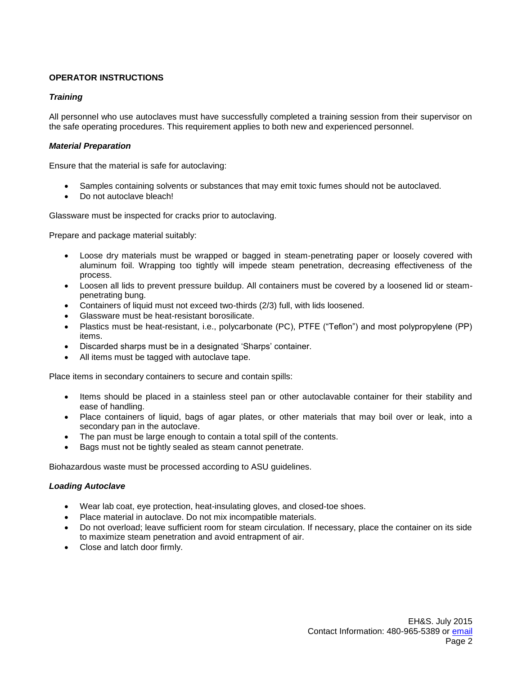# **OPERATOR INSTRUCTIONS**

## *Training*

All personnel who use autoclaves must have successfully completed a training session from their supervisor on the safe operating procedures. This requirement applies to both new and experienced personnel.

### *Material Preparation*

Ensure that the material is safe for autoclaving:

- Samples containing solvents or substances that may emit toxic fumes should not be autoclaved.
- Do not autoclave bleach!

Glassware must be inspected for cracks prior to autoclaving.

Prepare and package material suitably:

- Loose dry materials must be wrapped or bagged in steam-penetrating paper or loosely covered with aluminum foil. Wrapping too tightly will impede steam penetration, decreasing effectiveness of the process.
- Loosen all lids to prevent pressure buildup. All containers must be covered by a loosened lid or steampenetrating bung.
- Containers of liquid must not exceed two-thirds (2/3) full, with lids loosened.
- Glassware must be heat-resistant borosilicate.
- Plastics must be heat-resistant, i.e., polycarbonate (PC), PTFE ("Teflon") and most polypropylene (PP) items.
- Discarded sharps must be in a designated 'Sharps' container.
- All items must be tagged with autoclave tape.

Place items in secondary containers to secure and contain spills:

- Items should be placed in a stainless steel pan or other autoclavable container for their stability and ease of handling.
- Place containers of liquid, bags of agar plates, or other materials that may boil over or leak, into a secondary pan in the autoclave.
- The pan must be large enough to contain a total spill of the contents.
- Bags must not be tightly sealed as steam cannot penetrate.

Biohazardous waste must be processed according to ASU guidelines.

## *Loading Autoclave*

- Wear lab coat, eye protection, heat-insulating gloves, and closed-toe shoes.
- Place material in autoclave. Do not mix incompatible materials.
- Do not overload; leave sufficient room for steam circulation. If necessary, place the container on its side to maximize steam penetration and avoid entrapment of air.
- Close and latch door firmly.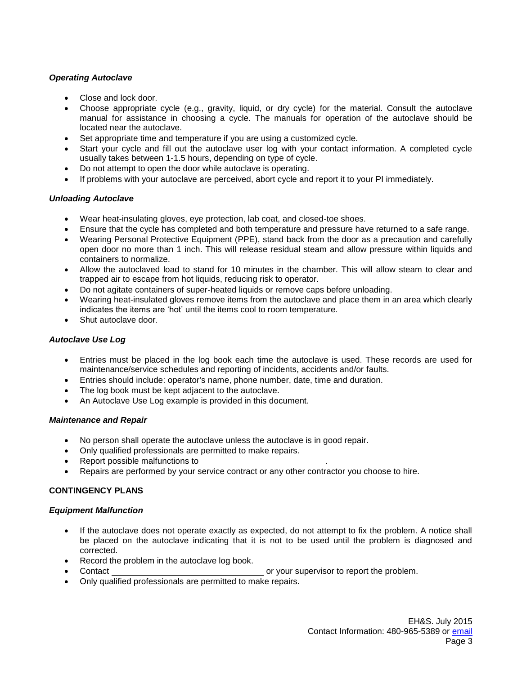# *Operating Autoclave*

- Close and lock door.
- Choose appropriate cycle (e.g., gravity, liquid, or dry cycle) for the material. Consult the autoclave manual for assistance in choosing a cycle. The manuals for operation of the autoclave should be located near the autoclave.
- Set appropriate time and temperature if you are using a customized cycle.
- Start your cycle and fill out the autoclave user log with your contact information. A completed cycle usually takes between 1-1.5 hours, depending on type of cycle.
- Do not attempt to open the door while autoclave is operating.
- If problems with your autoclave are perceived, abort cycle and report it to your PI immediately.

# *Unloading Autoclave*

- Wear heat-insulating gloves, eye protection, lab coat, and closed-toe shoes.
- Ensure that the cycle has completed and both temperature and pressure have returned to a safe range.
- Wearing Personal Protective Equipment (PPE), stand back from the door as a precaution and carefully open door no more than 1 inch. This will release residual steam and allow pressure within liquids and containers to normalize.
- Allow the autoclaved load to stand for 10 minutes in the chamber. This will allow steam to clear and trapped air to escape from hot liquids, reducing risk to operator.
- Do not agitate containers of super-heated liquids or remove caps before unloading.
- Wearing heat-insulated gloves remove items from the autoclave and place them in an area which clearly indicates the items are 'hot' until the items cool to room temperature.
- Shut autoclave door.

# *Autoclave Use Log*

- Entries must be placed in the log book each time the autoclave is used. These records are used for maintenance/service schedules and reporting of incidents, accidents and/or faults.
- Entries should include: operator's name, phone number, date, time and duration.
- The log book must be kept adjacent to the autoclave.
- An Autoclave Use Log example is provided in this document.

## *Maintenance and Repair*

- No person shall operate the autoclave unless the autoclave is in good repair.
- Only qualified professionals are permitted to make repairs.
- Report possible malfunctions to .
- Repairs are performed by your service contract or any other contractor you choose to hire.

# **CONTINGENCY PLANS**

## *Equipment Malfunction*

- If the autoclave does not operate exactly as expected, do not attempt to fix the problem. A notice shall be placed on the autoclave indicating that it is not to be used until the problem is diagnosed and corrected.
- Record the problem in the autoclave log book.
- Contact **or your supervisor to report the problem.**
- Only qualified professionals are permitted to make repairs.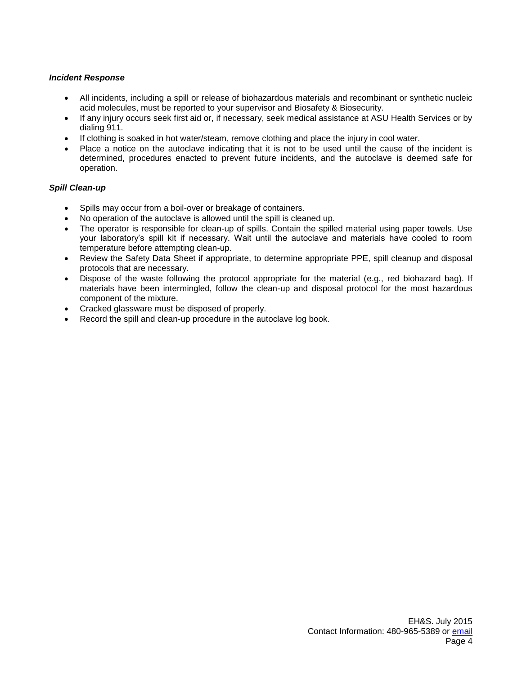### *Incident Response*

- All incidents, including a spill or release of biohazardous materials and recombinant or synthetic nucleic acid molecules, must be reported to your supervisor and Biosafety & Biosecurity.
- If any injury occurs seek first aid or, if necessary, seek medical assistance at ASU Health Services or by dialing 911.
- If clothing is soaked in hot water/steam, remove clothing and place the injury in cool water.
- Place a notice on the autoclave indicating that it is not to be used until the cause of the incident is determined, procedures enacted to prevent future incidents, and the autoclave is deemed safe for operation.

### *Spill Clean-up*

- Spills may occur from a boil-over or breakage of containers.
- No operation of the autoclave is allowed until the spill is cleaned up.
- The operator is responsible for clean-up of spills. Contain the spilled material using paper towels. Use your laboratory's spill kit if necessary. Wait until the autoclave and materials have cooled to room temperature before attempting clean-up.
- Review the Safety Data Sheet if appropriate, to determine appropriate PPE, spill cleanup and disposal protocols that are necessary.
- Dispose of the waste following the protocol appropriate for the material (e.g., red biohazard bag). If materials have been intermingled, follow the clean-up and disposal protocol for the most hazardous component of the mixture.
- Cracked glassware must be disposed of properly.
- Record the spill and clean-up procedure in the autoclave log book.